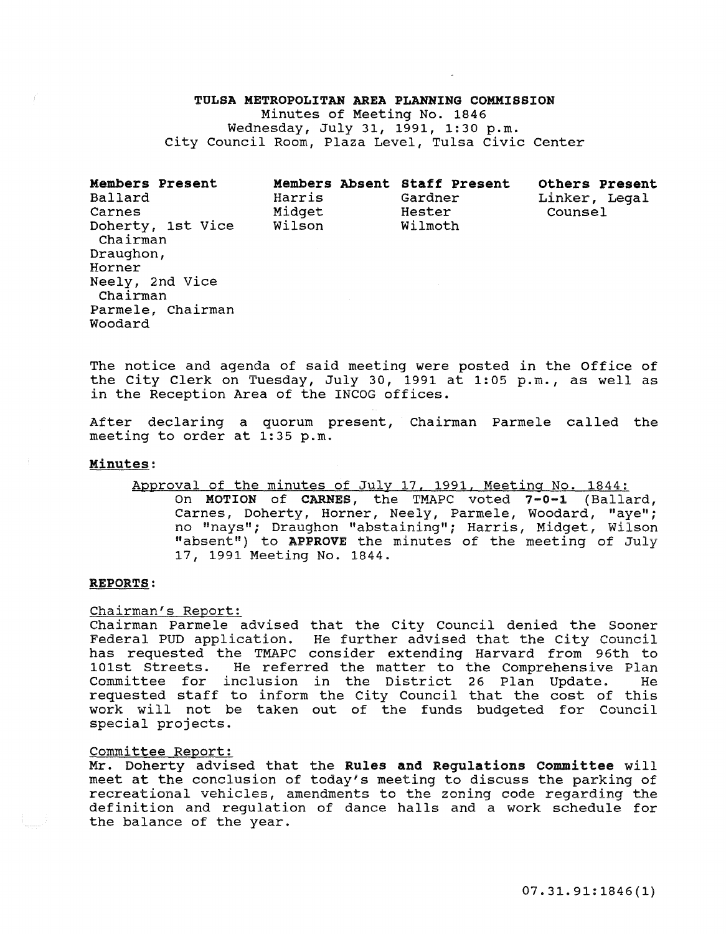### TULSA METROPOLITAN AREA PLANNING COMMISSION

Minutes of Meeting No. 1846 Wednesday, July 31, 1991, 1:30 p.m. city Council Room, Plaza Level, Tulsa civic center

|  | <b>Members Present</b><br>Ballard<br>Carnes<br>Doherty, 1st Vice<br>Chairman<br>Draughon,<br>Horner<br>Neely, 2nd Vice<br>Chairman<br>Parmele, Chairman<br>Woodard | Members Absent Staff Present<br>Harris<br>Midget<br>Wilson | Gardner<br>Hester<br>Wilmoth | <b>Others Present</b><br>Linker, Legal<br>Counsel |
|--|--------------------------------------------------------------------------------------------------------------------------------------------------------------------|------------------------------------------------------------|------------------------------|---------------------------------------------------|
|--|--------------------------------------------------------------------------------------------------------------------------------------------------------------------|------------------------------------------------------------|------------------------------|---------------------------------------------------|

The notice and agenda of said meeting were posted in the Office of the City Clerk on Tuesday, July 30, 1991 at 1:05 p.m., as well as in the Reception Area of the INCOG offices.

After declaring a quorum present, Chairman Parmele called the meeting to order at 1:35 p.m.

#### Minutes:

Approval of the minutes of July 17, 1991, Meeting No. 1844: On MOTION of CARNES, the TMAPC voted 7-0-1 (Ballard, Carnes, Doherty, Horner, Neely, Parmele, Woodard, "aye"; no "nays"; Draughon "abstaining"; Harris, Midget, Wilson "absent") to APPROVE the minutes of the meeting of July 17, 1991 Meeting No. 1844.

#### REPORTS:

Chairman's Report:

Chairman Parmele advised that the City Council denied the Sooner Federal PUD application. He further advised that the City council has requested the TMAPC consider extending Harvard from 96th to 101st Streets. He referred the matter to the Comprehensive Plan Committee for inclusion in the District 26 Plan Update. He requested staff to inform the City Council that the cost of this work will not be taken out of the funds budgeted for Council special projects.

#### Committee Report:

Mr. Doherty advised that the Rules and Regulations Committee will meet at the conclusion of today's meeting to discuss the parking of recreational vehicles, amendments to the zoning code regarding the definition and regulation of dance halls and a work schedule for the balance of the year.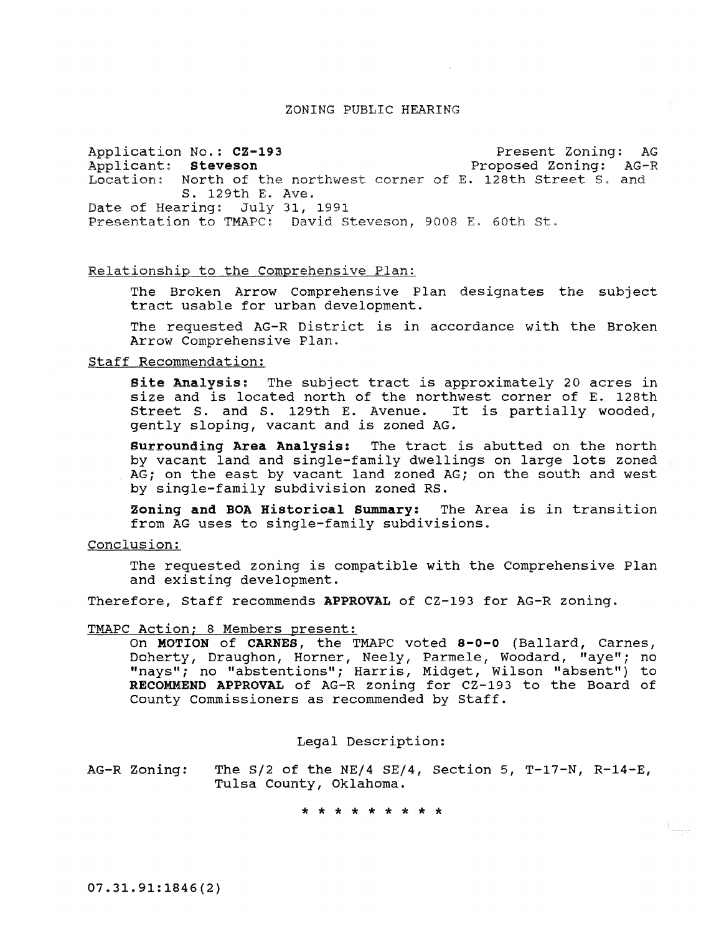#### ZONING PUBLIC HEARING

Application No.: CZ-193 Applicant: steveson Location; North of the northwest corner of E. 128th street S. and s. 129th E. Ave. Date of Hearing: July 31, 1991 Presentation to TMAPC: David steveson, 9008 E. 60th st. Present Zoning: AG Proposed Zoning: AG-R

## Relationship to the Comprehensive Plan:

The Broken Arrow Comprehensive Plan designates the subject tract usable for urban development.

The requested AG-R District is in accordance with the Broken Arrow Comprehensive Plan.

#### Staff Recommendation:

**Site Analysis:** The subject tract is approximately 20 acres in size and is located north of the northwest corner of E. 128th street S. and S. 129th E. Avenue. It is partially wooded, gently sloping, vacant and is zoned AG.

Surrounding Area Analysis: The tract is abutted on the north by vacant land and single-family dwellings on large lots zoned AG; on the east by vacant land zoned AG; on the south and west by single-family subdivision zoned RS.

Zoning and BOA Historical Summary: The Area is in transition from AG uses to single-family subdivisions.

Conclusion:

The requested zoning is compatible with the Comprehensive Plan and existing development.

Therefore, Staff recommends APPROVAL of CZ-193 for AG-R zoning.

#### TMAPC Action; 8 Members present:

On MOTION of CARNES, the TMAPC voted 8-0-0 (Ballard, Carnes, Doherty, Draughon, Horner, Neely, Parmele, Woodard, "ayel'; no "nays"; no "abstentions"; Harris, Midget, Wilson "absent") to RECOMMEND APPROVAL of AG-R zoning for CZ-193 to the Board of County Commissioners as recommended by Staff.

Legal Description:

AG-R Zoning: The S/2 of the NE/4 SE/4, Section 5, T-17-N, R-14-E, Tulsa County, Oklahoma.

\* \* \* \* \* \* \* \*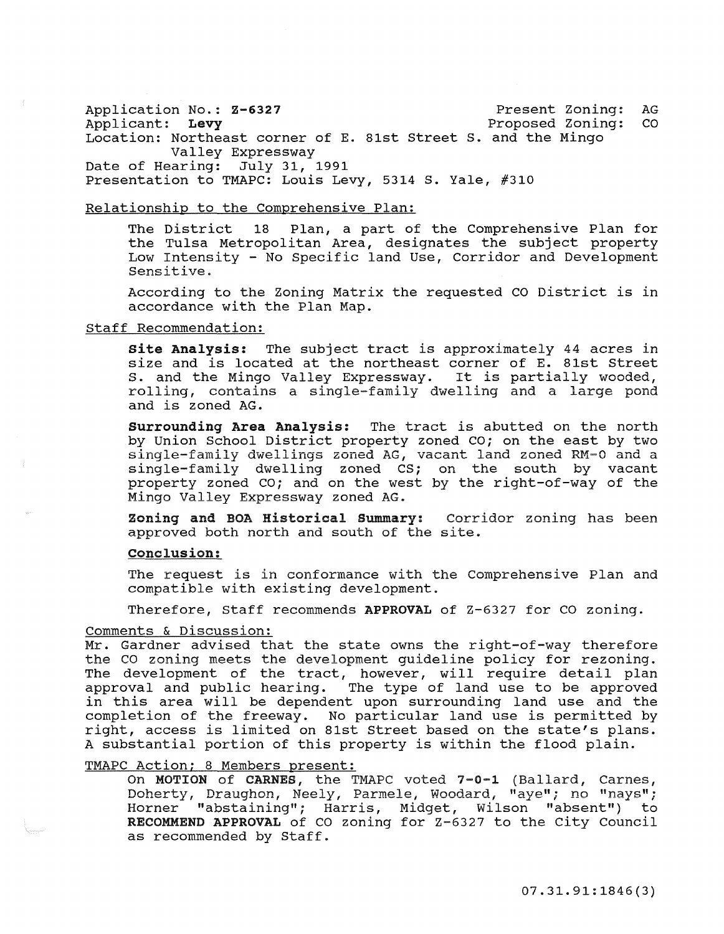Application No.: Z-6327 Present Zoning: AG Proposed Zoning: Location: Northeast corner of E. 81st street S. and the Mingo Valley Expressway Date of Hearing: July 31, 1991 Presentation to TMAPC: Louis Levy, 5314 S. Yale, #310

#### Relationship to the Comprehensive Plan:

The District 18 Plan, a part of the Comprehensive Plan for the Tulsa Metropolitan Area, designates the subject property Low Intensity - No Specific land Use, Corridor and Development Sensitive.

According to the Zoning Matrix the requested CO District is in accordance with the Plan Map.

## Staff Recommendation:

site Analysis: The subject tract is approximately 44 acres in size and is located at the northeast corner of E. 81st Street **S.** and the Mingo Valley Expressway. It is partially wooded, rolling, contains a single-family dwelling and a large pond and is zoned AG.

Surrounding Area Analysis: The tract is abutted on the north by Union School District property zoned CO; on the east by two single-family dwellings zoned AG, vacant land zoned RM-0 and a single-family dwelling zoned CS; on the south by vacant property zoned CO; and on the west by the right-of-way of the Mingo Valley Expressway zoned AG.

Zoning and BOA Historical Summary: approved both north and south of the site. Corridor zoning has been

# Conclusion:

The request is in conformance with the Comprehensive Plan and compatible with existing development.

Therefore, Staff recommends APPROVAL of Z-6327 for CO zoning.

#### Comments & Discussion:

Mr. Gardner advised that the state owns the right-of-way therefore the CO zoning meets the development guideline policy for rezoning. The development of the tract, however, will require detail plan approval and public hearing. The type of land use to be approved in this area will be dependent upon surrounding land use and the completion of the freeway. No particular land use is permitted by right, access is limited on 81st Street based on the state's plans. A substantial portion of this property is within the flood plain.

## TMAPC Action; 8 Members present:

On MOTION of CARNES, the TMAPC voted 7-0-1 (Ballard, Carnes, Doherty, Draughon, Neely, Parmele, Woodard; "aye"; no "nays"; Horner "abstaining"; Harris, Midget, Wilson "absent") to RECOMMEND APPROVAL of CO zoning for Z-6327 to the City Council as recommended by Staff.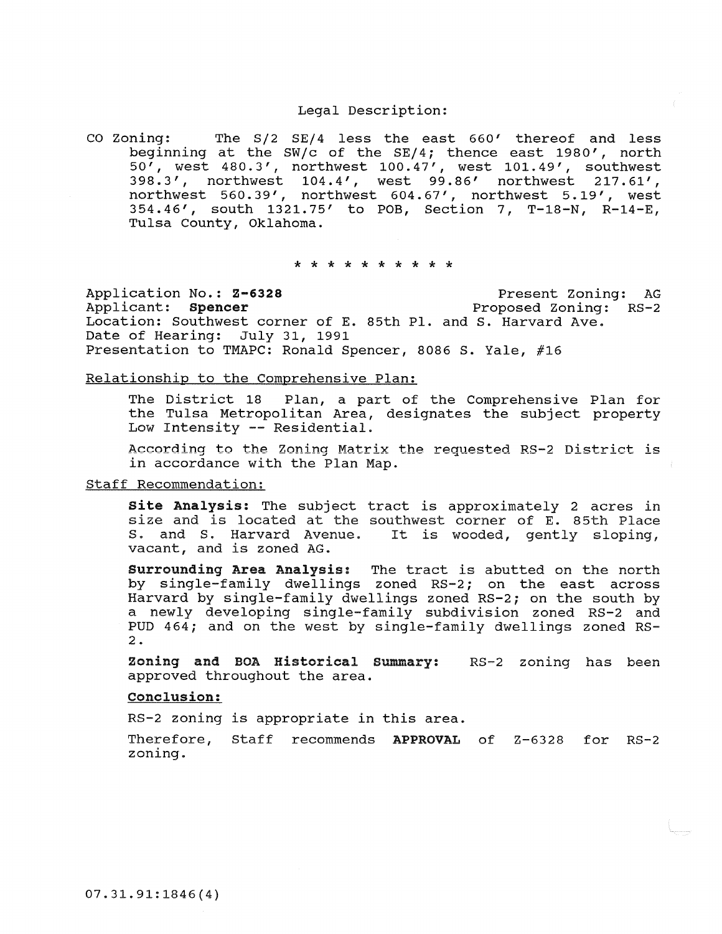### Legal Description:

co Zoning: The S/2 SE/4 less the east 660' thereof and less beginning at the SW/c of the SE/4; thence east 1980', north 50', west 480.3', northwest 100.47', west 101.49', southwest 398.3', northwest 104.4', west 99.86' northwest 217.61', northwest 560.39', northwest 604.67', northwest 5.19', west 354.46', south 1321.75' to POB, section 7, T-18-N, R-14-E, Tulsa County, Oklahoma.

#### \* \* \* \* \* \* \* \* \* \*

Application No.: 2-6328 Present Zoning: AG<br>Applicant: Spencer Proposed Zoning: RS-2 Proposed Zoning: RS-2 Location: Southwest corner of E. 85th Pl. and S. Harvard Ave. Date of Hearing: July 31, 1991 Presentation to TMAPC: Ronald Spencer, 8086 S. Yale, #16

#### Relationship to the Comprehensive Plan:

The District 18 Plan, a part of the Comprehensive Plan for the Tulsa Metropolitan Area, designates the subject property Low Intensity -- Residential.

According to the Zoning Matrix the requested RS-2 District is in accordance with the Plan Map.

## Staff Recommendation:

site Analysis: The subject tract is approximately 2 acres in size and is located at the southwest corner of E. 85th Place S. and S. Harvard Avenue. It is wooded, gently sloping, vacant, and is zoned AG.

surrounding Area Analysis: The tract is abutted on the north by single-family dwellings zoned RS-2; on the east across Harvard by single-family dwellings zoned RS-2; on the south by a newly developing single-family subdivision zoned RS-2 and PUD 464; and on the west by single-family dwellings zoned RS-2.

Zoning and BOA Historical summary: RS-2 **zoning has been**  approved throughout the area.

## Conclusion:

RS-2 zoning is appropriate in this area.

Therefore, Staff recommends APPROVAL of Z-6328 for RS-2 zoning.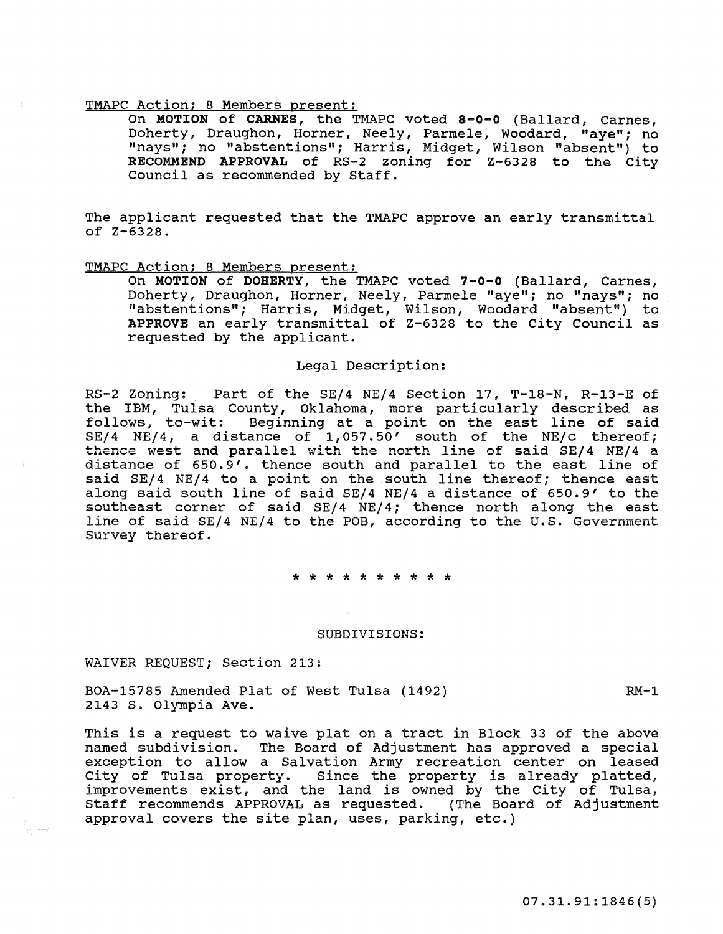On MOTION of CARNES, the TMAPC voted 8-0-0 (Ballard, Carnes, Doherty, Draughon, Horner, Neely, Parmele, Woodard, "aye"; no "nays"; no "abstentions"; Harris, Midget, Wilson "absent") to RECOMMEND APPROVAL of RS-2 zoning for Z-6328 to the City Council as recommended by Staff.

The applicant requested that the TMAPC approve an early transmittal of Z-6328.

# TMAPC Action; 8 Members present:

On MOTION of DOHERTY, the TMAPC voted 7-0-0 (Ballard, Carnes, Doherty, Draughon, Horner, Neely, Parmele "aye"; no "nays"; no "abstentions"; Harris, Midget, Wilson, Woodard "absent") to APPROVE an early transmittal of Z-6328 to the City Council as requested by the applicant.

## Legal Description:

RS-2 Zoning: Part of the *SEj4 NEj4* Section 17, T-18-N, R-13-E of the IBl<sup>y</sup> l, Tulsa County, Oklahoma, more particularly described as follows, to-wit: Beginning at a point on the east line of said *SEj4 NEj4,* a distance of 1,057.50' south of the *NEjc* thereof; thence west and parallel with the north line of said *SEj4* NEj4 a distance of 650.9'. thence south and parallel to the east line of said *SEj4 NEj4* to a point on the south line thereof; thence east along said south line of said *SEj4 NEj4* a distance of 650.9' to the southeast corner of said *SEj4 NEj4;* thence north along the east line of said *SEj4* NE/4 to the POB, according to the u.s. Government Survey thereof.

\* \* \* \* \* \* \* \* \* \*

#### SUBDIVISIONS:

WAIVER REQUEST; section 213:

BOA-15785 Amended Plat of West Tulsa (1492) 2143 S. olympia Ave.  $RM-1$ 

This is a request to waive plat on a tract in Block 33 of the above named subdivision. The Board of Adjustment has approved a special exception to allow a Salvation Army recreation center on leased City of Tulsa property. Since the property is already platted, improvements exist, and the land is owned by the City of Tulsa, Staff recommends APPROVAL as requested. (The Board of Adjustment approval covers the site plan, uses, parking, etc.)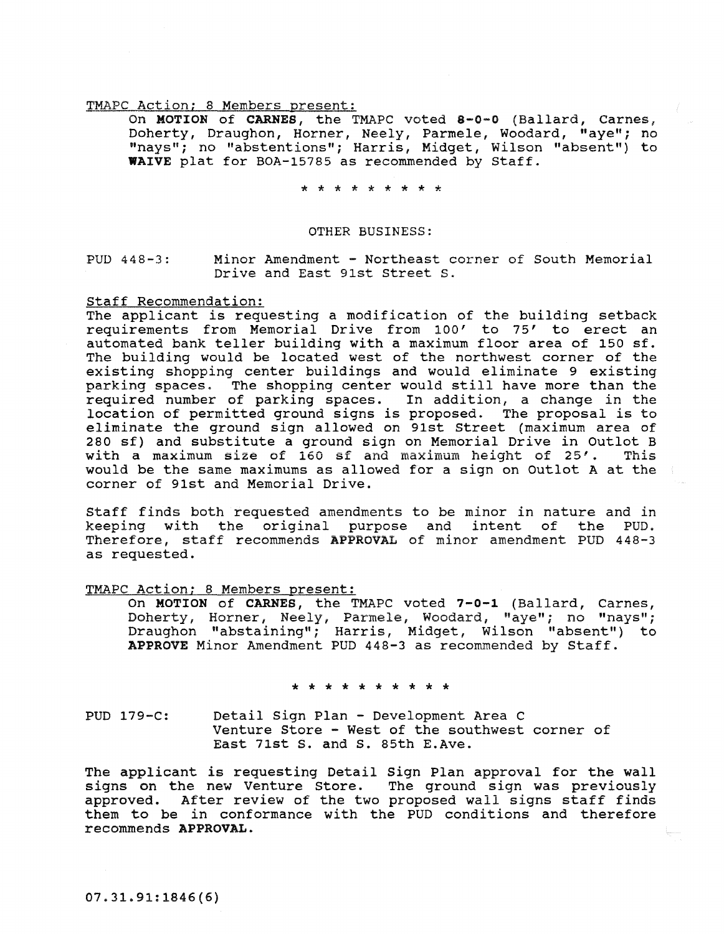On MOTION of CARNES, the TMAPC voted 8-0-0 (Ballard, Carnes, Doherty, Draughon, Horner, Neely, Parmele, Woodard, "aye"; no "nays"; no "abstentions"; Harris, Midget, Wilson "absent") to WAIVE plat for BOA-15785 as recommended by Staff.

\* \* \* \* \* \* \* \*

#### OTHER BUSINESS:

PUD 448-3: Minor Amendment - Northeast corner of South Memorial Drive and East 9Ist Street s.

#### Staff Recommendation:

The applicant is requesting a modification of the building setback requirements from Memorial Drive from 100' to 75' to erect an automated bank teller building with a maximum floor area of 150 sf. The building would be located west of the northwest corner of the existing shopping center buildings and would eliminate 9 existing parking spaces. The shopping center would still have more than the required number of parking spaces. In addition, a change in the location of permitted ground signs is proposed. The proposal is to eliminate the ground sign allowed on 91st Street (maximum area of 280 sf) and substitute a ground sign on Memorial Drive in Outlot B<br>with a maximum size of 160 sf and maximum height of 25'. This with a maximum size of 160 sf and maximum height of 25'. would be the same maximums as allowed for a sign on outlot A at the corner of 91st and Memorial Drive.

Staff finds both requested amendments to be minor in nature and in keeping with the original purpose and intent of the PUD. Therefore, staff recommends APPROVAL of minor amendment PUD 448-3 as requested.

#### TMAPC Action; 8 Members present:

On MOTION of CARNES, the TMAPC voted 7-0-1 (Ballard, Carnes, Doherty, Horner, Neely, Parmele, Woodard, "aye"; no "nays"; Draughon "abstaining"; Harris, Midget, Wilson "absent") to APPROVE Minor Amendment PUD 448-3 as recommended by Staff.

\* \* \* \* \* \* \* \* \* \*

PUD 179-C: Detail Sign Plan - Development Area C Venture Store - West of the southwest corner of East 71st S. and S. 85th E.Ave.

The applicant is requesting Detail Sign Plan approval for the wall signs on the new Venture store. The ground sign was previously approved. After review of the two proposed wall signs staff finds them to be in conformance with the PUD conditions and therefore recommends APPROVAL.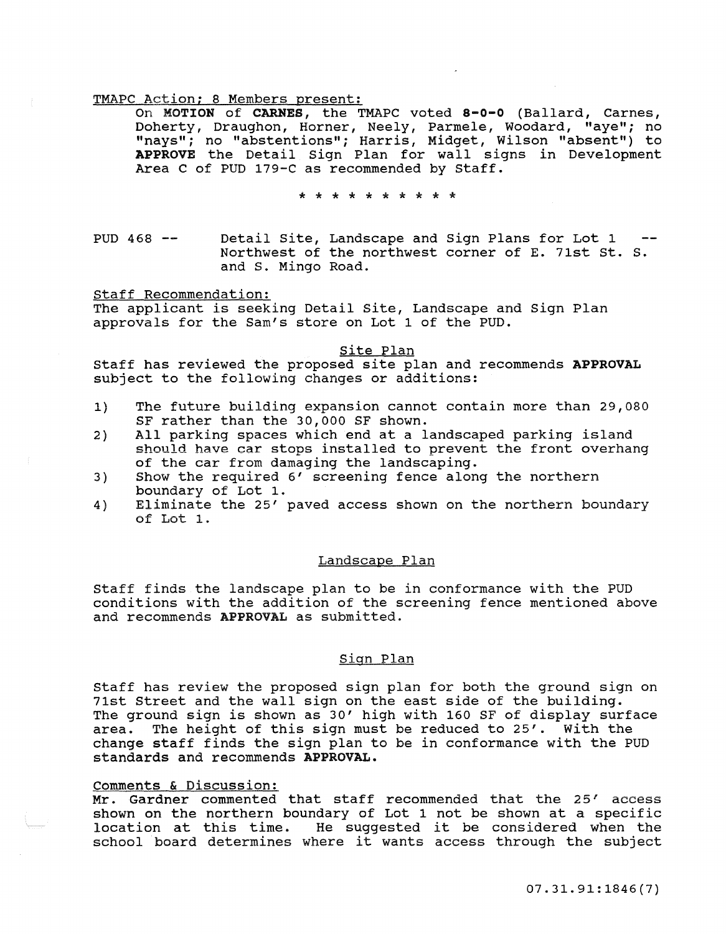On MOTION of CARNES, the TMAPC voted 8-0-0 (Ballard, Carnes, Doherty, Draughon, Horner, Neely, Parmele, Woodard, "aye"; no "nays"; no "abstentions"; Harris, Midget, Wilson "absent") to APPROVE the Detail Sign Plan for wall signs in Development Area C of PUD 179-C as recommended by Staff.

\* \* \* \* \* \* \* \* \* \*

PUD 468  $-$ Detail Site, Landscape and Sign Plans for Lot 1 Northwest of the northwest corner of E. 71st st. S. and S. Mingo Road.

Staff Recommendation:

The applicant is seeking Detail Site, Landscape and Sign Plan approvals for the Sam's store on Lot 1 of the PUD.

Site Plan

Staff has reviewed the proposed site plan and recommends APPROVAL subject to the following changes or additions:

- 1} The future building expansion cannot contain more than 29,080 SF rather than the 30,000 SF shown.
- 2) All parking spaces which end at a landscaped parking island should have car stops installed to prevent the front overhang of the car from damaging the landscaping.
- 3) Show the required 6' screening fence along the northern boundary of Lot 1.
- 4) Eliminate the 25' paved access shown on the northern boundary of Lot 1.

## Landscape Plan

Staff finds the landscape plan to be in conformance with the PUD conditions with the addition of the screening fence mentioned above and recommends APPROVAL as submitted.

# Siqn Plan

Staff has review the proposed sign plan for both the ground sign on 71st Street and the wall sign on the east side of the building. The ground sign is shown as 30' high with 160 SF of display surface area. The height of this sign must be reduced to 25'. With the change staff finds the sign plan to be in conformance with the PUD standards and recommends APPROVAL.

## Comments & Discussion:

**<u>Comments a bibodobion:</u>**<br>Mr. Gardner commented that staff recommended that the 25' access shown on the northern boundary of Lot 1 not be shown at a specific snown on the northern boundary of Lot I not be snown at a specific<br>location at this time. He suggested it be considered when the location at this time. He suggested it be considered when the school board determines where it wants access through the subject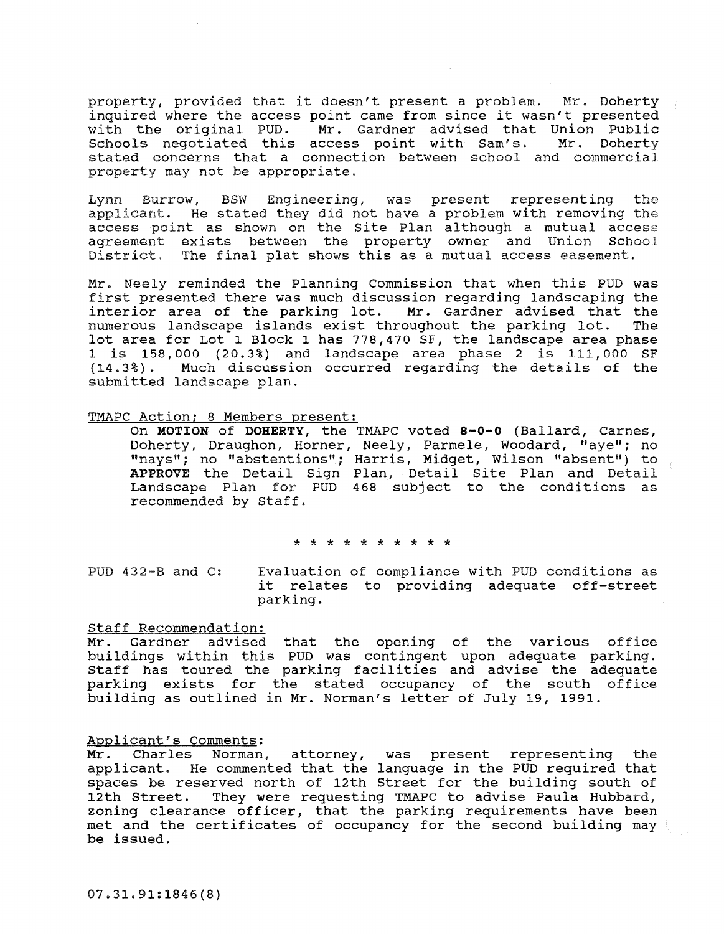property, provided that it doesn't present a problem. Mr. Doherty inquired where the access point came from since it wasn't presented<br>with the original PUD. Mr. Gardner advised that Union Public Mr. Gardner advised that Union Public<br>access point with Sam's. Mr. Doherty Schools negotiated this access point with Sam's. stated concerns that a connection between school and commercial property may not be appropriate.

Lynn Burrow, BSW Engineering, was present representing the applicant. He stated they did not have a problem with removing the access point as shown on the site Plan although a mutual access agreement exists between the property owner and Union School District. The final plat shows this as a mutual access easement.

Mr. Neely reminded the Planning Commission that when this PUD was first presented there was much discussion regarding landscaping the interior area of the parking lot. Mr. Gardner advised that the numerous landscape islands exist throughout the parking lot. The lot area for Lot 1 Block 1 has 778,470 SF, the landscape area phase 1 is 158,000 (20.3%) and landscape area phase 2 is 111,000 SF Much discussion occurred regarding the details of the submitted landscape plan.

## TMAPC Action; 8 Members present:

On MOTION of DOHERTY, the TMAPC voted 8-0-0 (Ballard, Carnes, Doherty, Draughon, Horner, Neely, Parmele, Woodard, "aye"; no "nays"; no "abstentions"; Harris, Midget, Wilson "absent") to APPROVE the Detail Sign Plan, Detail Site Plan and Detail Landscape Plan for PUD 468 subject to the conditions as recommended by Staff.

\* \* \* \* \* \* \* \* \* \*

PUD 432-B and C: Evaluation of compliance with PUD conditions as it relates to providing adequate off-street parking.

#### Staff Recommendation:

Mr. Gardner advised that the opening of the various office buildings within this PUD was contingent upon adequate parking. Staff has toured the parking facilities and advise the adequate parking exists for the stated occupancy of the south office building as outlined in Mr. Norman's letter of July 19, 1991.

Applicant's Comments:<br>Mr. Charles Norman, Mr. Charles Norman, attorney, was present representing the applicant. He commented that the language in the PUD required that spaces be reserved north of 12th Street for the building south of 12th Street. They were requesting TMAPC to advise Paula Hubbard, They were requesting TMAPC to advise Paula Hubbard, zoning clearance officer, that the parking requirements have been met and the certificates of occupancy for the second building may be issued.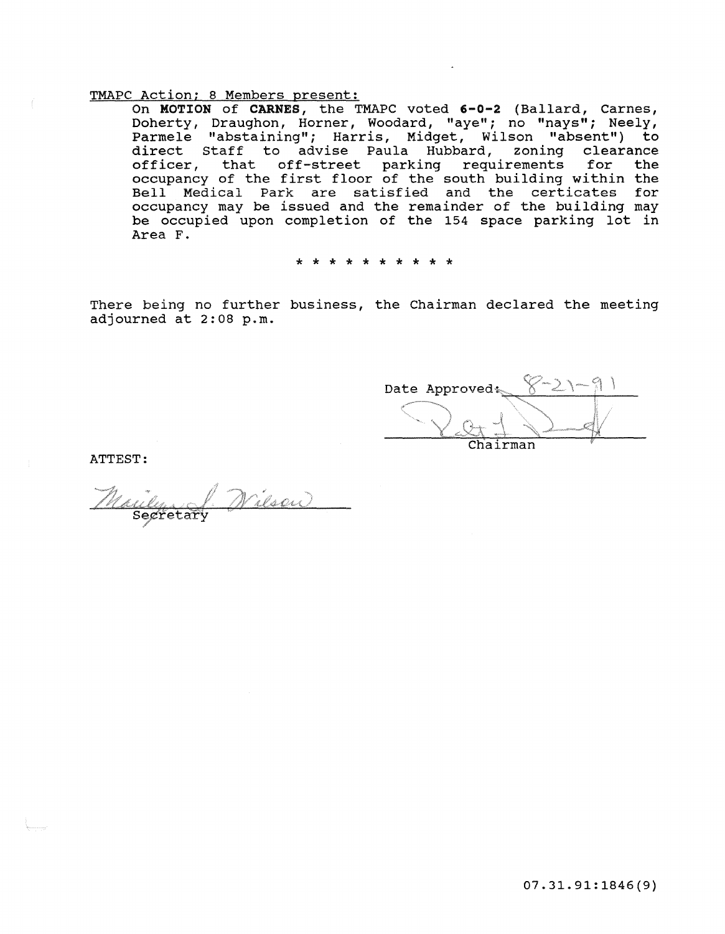On MOTION of CARNES, the TMAPC voted 6-0-2 (Ballard, Carnes, Doherty, Draughon, Horner, Woodard, "aye"; no "nays"; Neely, Parmele "abstaining"; Harris, Midget, Wilson "absent") to direct staff to advise Paula Hubbard, zoning clearance afficer, that off-street parking requirements for the occupancy of the first floor of the south building within the Bell Medical Park are satisfied and the certicates for occupancy may be issued and the remainder of the building may be occupied upon completion of the 154 space parking lot in Area F.

\* \* \* \* \* \* \* \* \* \*

There being no further business, the Chairman declared the meeting adjourned at 2:08 p.m.

Date Approved: Chairman

ATTEST:

<u>ilsoi)</u> uly<br>Segretar